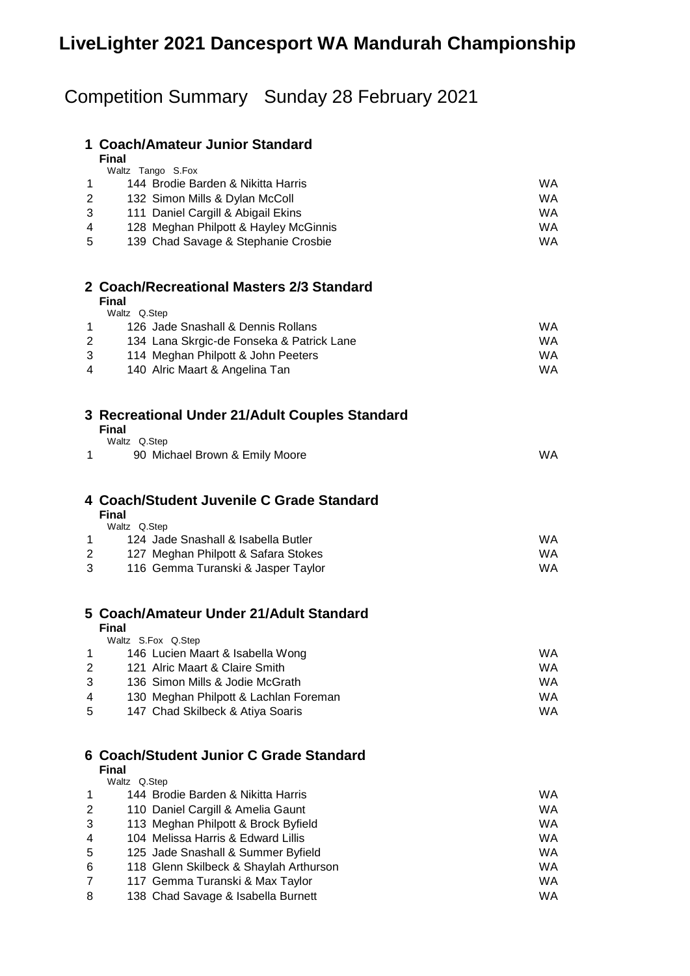# **LiveLighter 2021 Dancesport WA Mandurah Championship**

# Competition Summary Sunday 28 February 2021

|                | 1 Coach/Amateur Junior Standard                                          |                        |
|----------------|--------------------------------------------------------------------------|------------------------|
|                | <b>Final</b><br>Waltz Tango S.Fox                                        |                        |
| 1              | 144 Brodie Barden & Nikitta Harris                                       | <b>WA</b>              |
| 2              | 132 Simon Mills & Dylan McColl                                           | <b>WA</b>              |
| 3              | 111 Daniel Cargill & Abigail Ekins                                       | <b>WA</b>              |
| 4              | 128 Meghan Philpott & Hayley McGinnis                                    | <b>WA</b>              |
| 5              | 139 Chad Savage & Stephanie Crosbie                                      | <b>WA</b>              |
|                | 2 Coach/Recreational Masters 2/3 Standard                                |                        |
|                | Final<br>Waltz Q.Step                                                    |                        |
| 1              | 126 Jade Snashall & Dennis Rollans                                       | <b>WA</b>              |
| 2              | 134 Lana Skrgic-de Fonseka & Patrick Lane                                | <b>WA</b>              |
| 3              | 114 Meghan Philpott & John Peeters                                       | <b>WA</b>              |
| 4              | 140 Alric Maart & Angelina Tan                                           | <b>WA</b>              |
|                | 3 Recreational Under 21/Adult Couples Standard<br><b>Final</b>           |                        |
|                | Waltz Q.Step                                                             |                        |
| 1              | 90 Michael Brown & Emily Moore                                           | <b>WA</b>              |
|                |                                                                          |                        |
|                | 4 Coach/Student Juvenile C Grade Standard<br><b>Final</b>                |                        |
|                | Waltz Q.Step                                                             |                        |
| 1              | 124 Jade Snashall & Isabella Butler                                      | <b>WA</b>              |
| $\overline{2}$ | 127 Meghan Philpott & Safara Stokes                                      | <b>WA</b>              |
| 3              | 116 Gemma Turanski & Jasper Taylor                                       | <b>WA</b>              |
|                | 5 Coach/Amateur Under 21/Adult Standard                                  |                        |
|                | <b>Final</b><br>Waltz S.Fox Q.Step                                       |                        |
| 1              | 146 Lucien Maart & Isabella Wong                                         | WA                     |
| 2              | 121 Alric Maart & Claire Smith                                           | WA.                    |
| 3              | 136 Simon Mills & Jodie McGrath                                          | <b>WA</b>              |
| 4              | 130 Meghan Philpott & Lachlan Foreman                                    | <b>WA</b>              |
| 5              | 147 Chad Skilbeck & Atiya Soaris                                         | <b>WA</b>              |
|                | 6 Coach/Student Junior C Grade Standard                                  |                        |
|                | <b>Final</b><br>Waltz Q.Step                                             |                        |
| 1              | 144 Brodie Barden & Nikitta Harris                                       | WA.                    |
| 2<br>3         | 110 Daniel Cargill & Amelia Gaunt<br>113 Meghan Philpott & Brock Byfield | <b>WA</b><br><b>WA</b> |

 104 Melissa Harris & Edward Lillis WA 125 Jade Snashall & Summer Byfield WA 118 Glenn Skilbeck & Shaylah Arthurson WA 117 Gemma Turanski & Max Taylor WA 8 138 Chad Savage & Isabella Burnett WA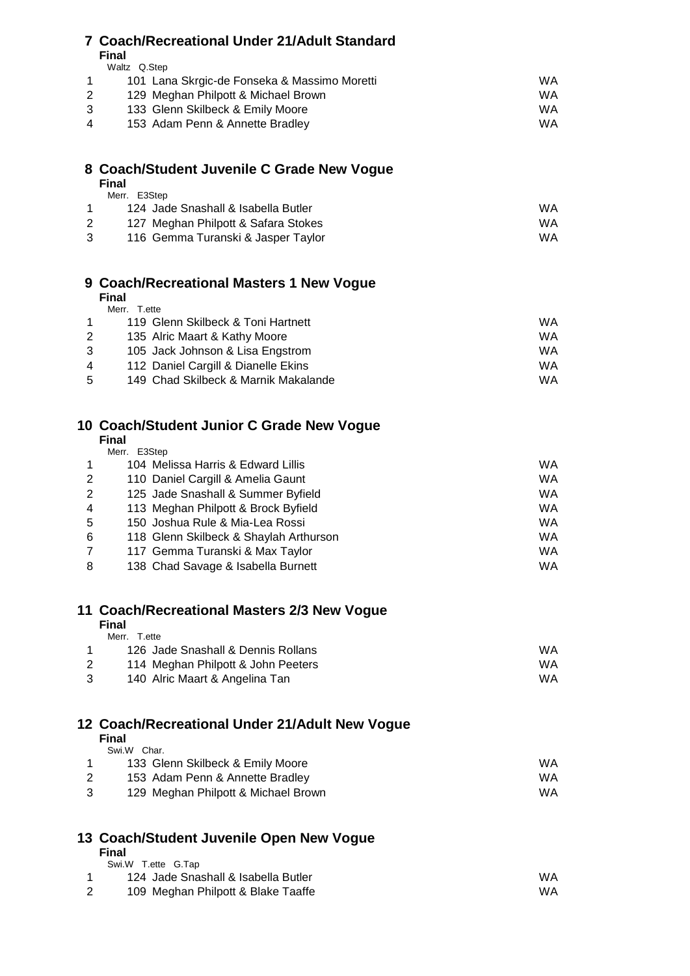# **Coach/Recreational Under 21/Adult Standard**

**Final** ……<br>Waltz O.Step

|   | wait volu |                                              |     |
|---|-----------|----------------------------------------------|-----|
|   |           | 101 Lana Skrgic-de Fonseka & Massimo Moretti | WA. |
|   |           | 129 Meghan Philpott & Michael Brown          | WA. |
| 3 |           | 133 Glenn Skilbeck & Emily Moore             | WA. |
| 4 |           | 153 Adam Penn & Annette Bradley              | WA. |

# **Coach/Student Juvenile C Grade New Vogue**

|   | <b>Final</b>                        |     |
|---|-------------------------------------|-----|
|   | Merr. E3Step                        |     |
|   | 124 Jade Snashall & Isabella Butler | WA  |
| 2 | 127 Meghan Philpott & Safara Stokes | WA. |
| 3 | 116 Gemma Turanski & Jasper Taylor  | WA. |

# **Coach/Recreational Masters 1 New Vogue**

**Final**

|    | Merr.<br>T.ette                      |     |
|----|--------------------------------------|-----|
|    | 119 Glenn Skilbeck & Toni Hartnett   | WA  |
| 2  | 135 Alric Maart & Kathy Moore        | WA. |
|    | 105 Jack Johnson & Lisa Engstrom     | WA. |
| 4  | 112 Daniel Cargill & Dianelle Ekins  | WA. |
| 5. | 149 Chad Skilbeck & Marnik Makalande | WA. |

# **Coach/Student Junior C Grade New Vogue**

**Final**

| E3Step |
|--------|
|        |

| $\overline{1}$  | 104 Melissa Harris & Edward Lillis     | WA.       |
|-----------------|----------------------------------------|-----------|
| $\overline{2}$  | 110 Daniel Cargill & Amelia Gaunt      | <b>WA</b> |
| 2               | 125 Jade Snashall & Summer Byfield     | <b>WA</b> |
| $\overline{4}$  | 113 Meghan Philpott & Brock Byfield    | WA.       |
| $5\overline{)}$ | 150 Joshua Rule & Mia-Lea Rossi        | WA.       |
| 6               | 118 Glenn Skilbeck & Shaylah Arthurson | <b>WA</b> |
| $\overline{7}$  | 117 Gemma Turanski & Max Taylor        | WA.       |
| 8               | 138 Chad Savage & Isabella Burnett     | WA.       |

# **Coach/Recreational Masters 2/3 New Vogue**

**Final**

| Merr.<br>T.ette                    |     |
|------------------------------------|-----|
| 126 Jade Snashall & Dennis Rollans | WA  |
| 114 Meghan Philpott & John Peeters | WA. |
| 140 Alric Maart & Angelina Tan     | WA. |
|                                    |     |

# **Coach/Recreational Under 21/Adult New Vogue**

**Final**

| Swi.W Char.                         |     |
|-------------------------------------|-----|
| 133 Glenn Skilbeck & Emily Moore    | WA. |
| 153 Adam Penn & Annette Bradley     | WA. |
| 129 Meghan Philpott & Michael Brown | WA  |

# **Coach/Student Juvenile Open New Vogue**

| Swi.W T.ette G.Tap                  |    |
|-------------------------------------|----|
| 124 Jade Snashall & Isabella Butler | WA |
| 109 Meghan Philpott & Blake Taaffe  | WA |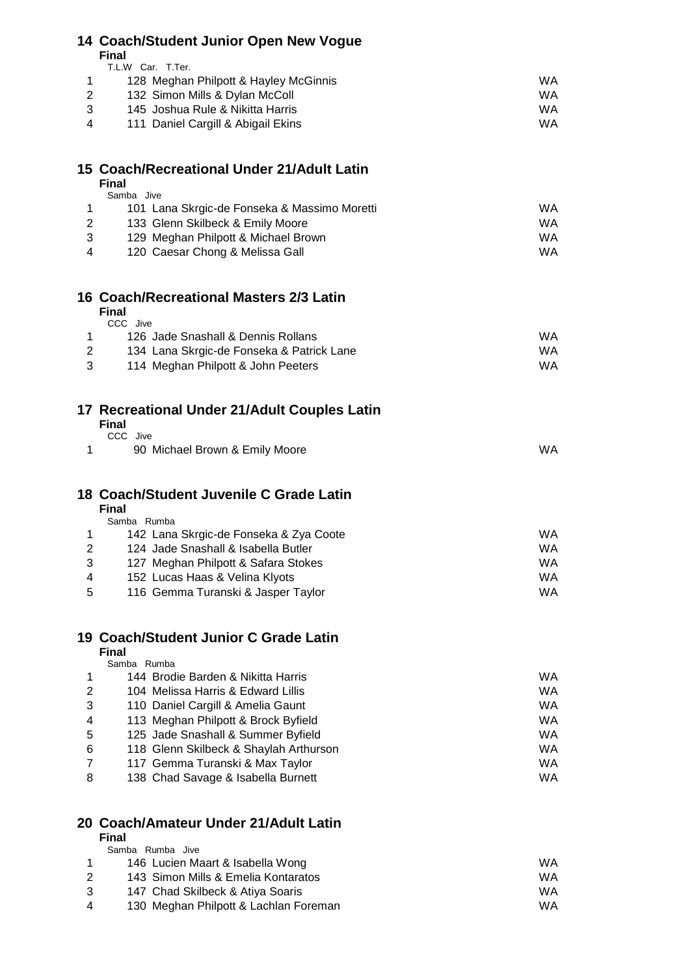### **Coach/Student Junior Open New Vogue**

**Final** T.L.W. Car. T.Ter.

| .                                     |    |
|---------------------------------------|----|
| 128 Meghan Philpott & Hayley McGinnis | WA |
| 132 Simon Mills & Dylan McColl        | WA |
| 145 Joshua Rule & Nikitta Harris      | WA |
| 111 Daniel Cargill & Abigail Ekins    | WA |
|                                       |    |

### **Coach/Recreational Under 21/Adult Latin**

|                | <b>Final</b> |                                              |    |
|----------------|--------------|----------------------------------------------|----|
|                | Samba        | Jive                                         |    |
|                |              | 101 Lana Skrgic-de Fonseka & Massimo Moretti | WA |
| 2              |              | 133 Glenn Skilbeck & Emily Moore             | WA |
| 3              |              | 129 Meghan Philpott & Michael Brown          | WA |
| $\overline{4}$ |              | 120 Caesar Chong & Melissa Gall              | WA |
|                |              |                                              |    |

### **Coach/Recreational Masters 2/3 Latin**

| <b>Final</b>                              |     |
|-------------------------------------------|-----|
| CCC Jive                                  |     |
| 126 Jade Snashall & Dennis Rollans        | WA  |
| 134 Lana Skrgic-de Fonseka & Patrick Lane | WA. |
| 114 Meghan Philpott & John Peeters        | WA. |

| 17 Recreational Under 21/Adult Couples Latin |  |
|----------------------------------------------|--|
| Final                                        |  |

| .        |                                |    |
|----------|--------------------------------|----|
| CCC Jive |                                |    |
|          | 90 Michael Brown & Emily Moore | WA |

# **Coach/Student Juvenile C Grade Latin**

**Final**

|  | dent Juvenile C Grade Latin |  |
|--|-----------------------------|--|
|  |                             |  |

|   | Samba Rumba                            |    |
|---|----------------------------------------|----|
|   | 142 Lana Skrgic-de Fonseka & Zya Coote | WA |
| 2 | 124 Jade Snashall & Isabella Butler    | WA |
| 3 | 127 Meghan Philpott & Safara Stokes    | WA |
| 4 | 152 Lucas Haas & Velina Klyots         | WA |
| 5 | 116 Gemma Turanski & Jasper Taylor     | WA |

#### **Coach/Student Junior C Grade Latin Final**

|   | н шаг                                  |    |
|---|----------------------------------------|----|
|   | Samba Rumba                            |    |
|   | 144 Brodie Barden & Nikitta Harris     | WA |
| 2 | 104 Melissa Harris & Edward Lillis     | WA |
| 3 | 110 Daniel Cargill & Amelia Gaunt      | WA |
| 4 | 113 Meghan Philpott & Brock Byfield    | WA |
| 5 | 125 Jade Snashall & Summer Byfield     | WA |
| 6 | 118 Glenn Skilbeck & Shaylah Arthurson | WA |
| 7 | 117 Gemma Turanski & Max Taylor        | WA |
| 8 | 138 Chad Savage & Isabella Burnett     | WA |

# **Coach/Amateur Under 21/Adult Latin**

#### **Final** Samba Rumba Jive 1 146 Lucien Maart & Isabella Wong **WA** WA 143 Simon Mills & Emelia Kontaratos WA 147 Chad Skilbeck & Atiya Soaris WA 130 Meghan Philpott & Lachlan Foreman WA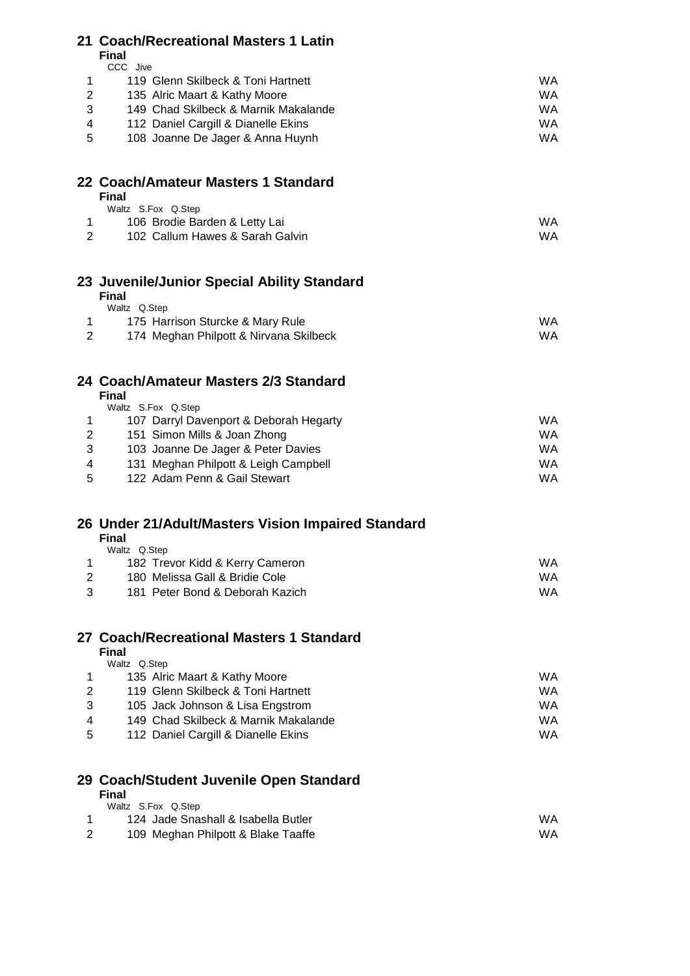# **Coach/Recreational Masters 1 Latin**

**Final** CCC Jive

|   | 119 Glenn Skilbeck & Toni Hartnett   | WA. |
|---|--------------------------------------|-----|
|   | 135 Alric Maart & Kathy Moore        | WA. |
| 3 | 149 Chad Skilbeck & Marnik Makalande | WA. |
| 4 | 112 Daniel Cargill & Dianelle Ekins  | WA. |
|   |                                      |     |

108 Joanne De Jager & Anna Huynh WA

### **Coach/Amateur Masters 1 Standard Final**

| Waltz S.Fox Q.Step              |     |
|---------------------------------|-----|
| 106 Brodie Barden & Letty Lai   | WA  |
| 102 Callum Hawes & Sarah Galvin | WA. |

# **Juvenile/Junior Special Ability Standard**

#### **Final** …...<br>Waltz O.Step

| $\cdots$                               |     |
|----------------------------------------|-----|
| 175 Harrison Sturcke & Mary Rule       | WA. |
| 174 Meghan Philpott & Nirvana Skilbeck | WA. |

# **Coach/Amateur Masters 2/3 Standard**

**Final**

|    | Final |                                        |    |
|----|-------|----------------------------------------|----|
|    |       | Waltz S.Fox Q.Step                     |    |
|    |       | 107 Darryl Davenport & Deborah Hegarty | WA |
| 2  |       | 151 Simon Mills & Joan Zhong           | WA |
| 3  |       | 103 Joanne De Jager & Peter Davies     | WA |
| 4  |       | 131 Meghan Philpott & Leigh Campbell   | WA |
| -5 |       | 122 Adam Penn & Gail Stewart           | WA |

# **Under 21/Adult/Masters Vision Impaired Standard**

### **Final**

| Waltz Q.Step                    |           |
|---------------------------------|-----------|
| 182 Trevor Kidd & Kerry Cameron | WA        |
| 180 Melissa Gall & Bridie Cole  | <b>WA</b> |
| 181 Peter Bond & Deborah Kazich | WA        |

#### **Coach/Recreational Masters 1 Standard Final**

|   | rınaı                                |    |
|---|--------------------------------------|----|
|   | Waltz Q.Step                         |    |
|   | 135 Alric Maart & Kathy Moore        | WA |
| 2 | 119 Glenn Skilbeck & Toni Hartnett   | WA |
| 3 | 105 Jack Johnson & Lisa Engstrom     | WA |
| 4 | 149 Chad Skilbeck & Marnik Makalande | WA |
| 5 | 112 Daniel Cargill & Dianelle Ekins  | WA |
|   |                                      |    |

# **Coach/Student Juvenile Open Standard**

| Waltz S.Fox Q.Step                  |    |
|-------------------------------------|----|
| 124 Jade Snashall & Isabella Butler | WA |
| 109 Meghan Philpott & Blake Taaffe  | WA |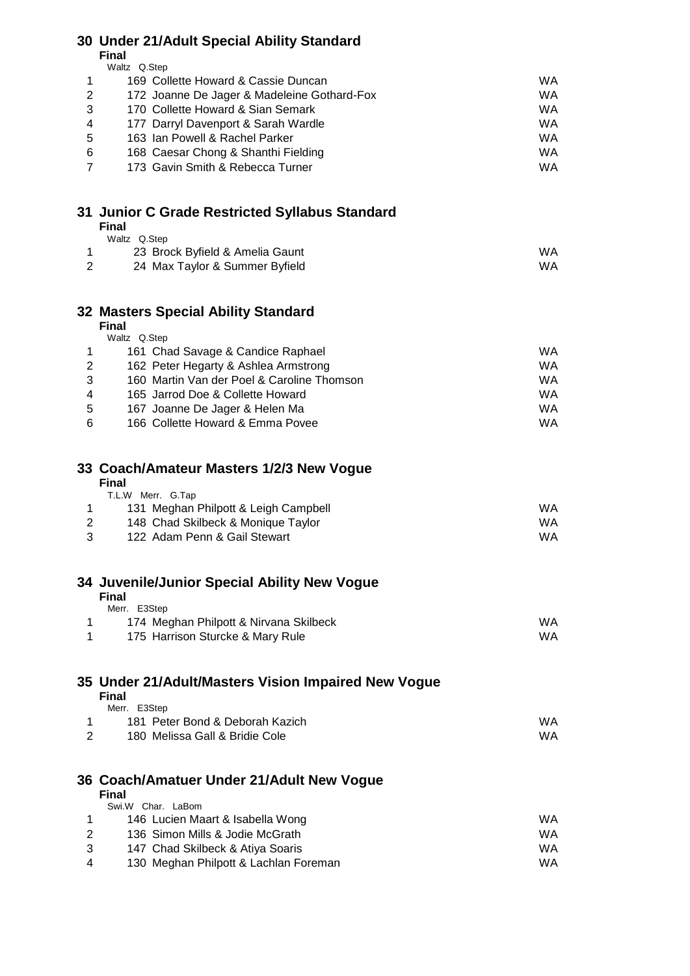# **Under 21/Adult Special Ability Standard**

**Final**  $\bigcap$  Step

|                | wall volu |                                             |    |
|----------------|-----------|---------------------------------------------|----|
|                |           | 169 Collette Howard & Cassie Duncan         | WA |
| $\mathbf{2}$   |           | 172 Joanne De Jager & Madeleine Gothard-Fox | WA |
| 3              |           | 170 Collette Howard & Sian Semark           | WA |
| $\overline{4}$ |           | 177 Darryl Davenport & Sarah Wardle         | WA |
| 5              |           | 163 Ian Powell & Rachel Parker              | WA |
| 6              |           | 168 Caesar Chong & Shanthi Fielding         | WA |
|                |           | 173 Gavin Smith & Rebecca Turner            | WA |
|                |           |                                             |    |

### **Junior C Grade Restricted Syllabus Standard Final**

| Waltz Q.Step                    |     |
|---------------------------------|-----|
| 23 Brock Byfield & Amelia Gaunt | WA. |
| 24 Max Taylor & Summer Byfield  | WA. |

### **Masters Special Ability Standard**

|                | <b>Final</b> |                                            |    |  |
|----------------|--------------|--------------------------------------------|----|--|
|                | Waltz Q.Step |                                            |    |  |
|                |              | 161 Chad Savage & Candice Raphael          | WA |  |
| 2              |              | 162 Peter Hegarty & Ashlea Armstrong       | WA |  |
| 3              |              | 160 Martin Van der Poel & Caroline Thomson | WA |  |
| $\overline{4}$ |              | 165 Jarrod Doe & Collette Howard           | WA |  |
| -5             |              | 167 Joanne De Jager & Helen Ma             | WA |  |
| 6              |              | 166 Collette Howard & Emma Povee           | WA |  |

# **Coach/Amateur Masters 1/2/3 New Vogue**

| Final |                   |  |
|-------|-------------------|--|
|       | T.L.W Merr. G.Tap |  |

|   | 131 Meghan Philpott & Leigh Campbell | WA. |
|---|--------------------------------------|-----|
|   | 148 Chad Skilbeck & Monique Taylor   | WA. |
| 3 | 122 Adam Penn & Gail Stewart         | WA. |

### **Juvenile/Junior Special Ability New Vogue**

#### **Final** Merr. E3Step

| $IVICII.$ LJULGU                       |     |
|----------------------------------------|-----|
| 174 Meghan Philpott & Nirvana Skilbeck | WA. |
| 175 Harrison Sturcke & Mary Rule       | WA. |

# **Under 21/Adult/Masters Vision Impaired New Vogue**

|   | <b>Final</b> |                                 |    |
|---|--------------|---------------------------------|----|
|   | Merr. E3Step |                                 |    |
|   |              | 181 Peter Bond & Deborah Kazich | WA |
| 2 |              | 180 Melissa Gall & Bridie Cole  | WA |
|   |              |                                 |    |
|   |              | _ _ _ _ _ _ _ _                 |    |

### **Coach/Amatuer Under 21/Adult New Vogue**

#### **Final** Swi.W Char. LaBom 146 Lucien Maart & Isabella Wong WA 2 136 Simon Mills & Jodie McGrath WA 147 Chad Skilbeck & Atiya Soaris WA 130 Meghan Philpott & Lachlan Foreman WA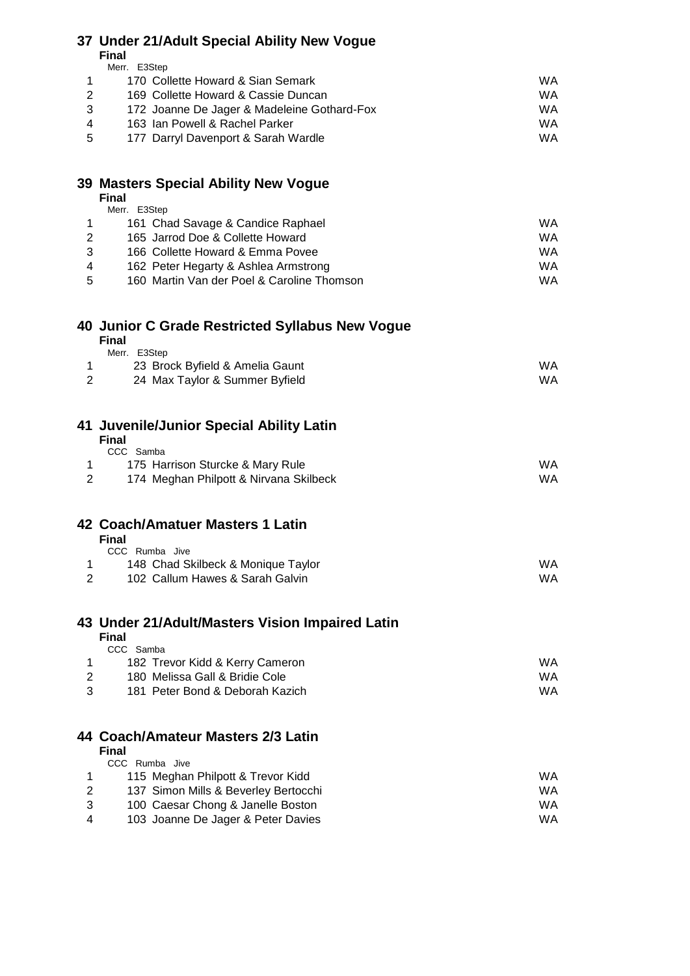# **Under 21/Adult Special Ability New Vogue**

**Final**

|  | WA                                                                                                                                                                                                               |
|--|------------------------------------------------------------------------------------------------------------------------------------------------------------------------------------------------------------------|
|  | WA                                                                                                                                                                                                               |
|  | WA                                                                                                                                                                                                               |
|  | WA                                                                                                                                                                                                               |
|  | WA                                                                                                                                                                                                               |
|  | Merr. E3Step<br>170 Collette Howard & Sian Semark<br>169 Collette Howard & Cassie Duncan<br>172 Joanne De Jager & Madeleine Gothard-Fox<br>163 Ian Powell & Rachel Parker<br>177 Darryl Davenport & Sarah Wardle |

#### **Masters Special Ability New Vogue Final**

|   | ннан  |                                            |    |
|---|-------|--------------------------------------------|----|
|   | Merr. | E3Step                                     |    |
|   |       | 161 Chad Savage & Candice Raphael          | WA |
| 2 |       | 165 Jarrod Doe & Collette Howard           | WA |
| 3 |       | 166 Collette Howard & Emma Povee           | WA |
| 4 |       | 162 Peter Hegarty & Ashlea Armstrong       | WA |
| 5 |       | 160 Martin Van der Poel & Caroline Thomson | WA |

#### **Junior C Grade Restricted Syllabus New Vogue Final**

| Final                           |           |
|---------------------------------|-----------|
| Merr. E3Step                    |           |
| 23 Brock Byfield & Amelia Gaunt | <b>WA</b> |
| 24 Max Taylor & Summer Byfield  | WA.       |

#### **Juvenile/Junior Special Ability Latin Final**

| CCC Samba                              |     |
|----------------------------------------|-----|
| 175 Harrison Sturcke & Mary Rule       | WA. |
| 174 Meghan Philpott & Nirvana Skilbeck | WA. |

#### **Coach/Amatuer Masters 1 Latin Final**

| CCC Rumba Jive                     |     |
|------------------------------------|-----|
| 148 Chad Skilbeck & Monique Taylor | WA  |
| 102 Callum Hawes & Sarah Galvin    | WA. |

# **Under 21/Adult/Masters Vision Impaired Latin**

|     | Final                           |    |
|-----|---------------------------------|----|
|     | CCC Samba                       |    |
|     | 182 Trevor Kidd & Kerry Cameron | WA |
|     | 180 Melissa Gall & Bridie Cole  | WA |
| ્રવ | 181 Peter Bond & Deborah Kazich | WA |

# **Coach/Amateur Masters 2/3 Latin**

|   | CCC Rumba Jive                       |     |
|---|--------------------------------------|-----|
|   | 115 Meghan Philpott & Trevor Kidd    | WA  |
|   | 137 Simon Mills & Beverley Bertocchi | WA. |
| 3 | 100 Caesar Chong & Janelle Boston    | WA. |
| 4 | 103 Joanne De Jager & Peter Davies   | WA. |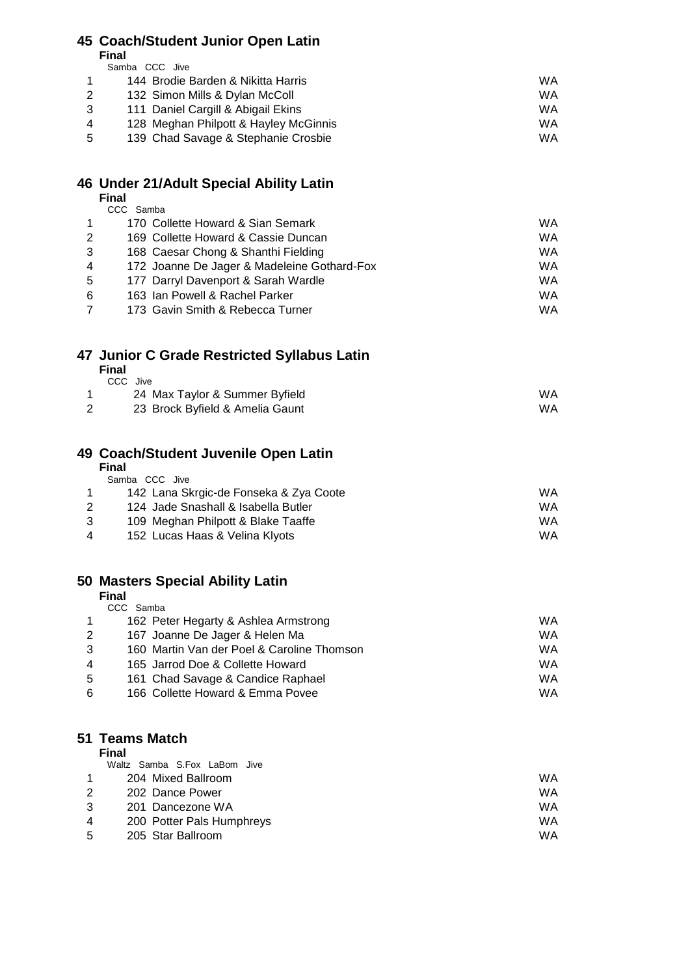# **Coach/Student Junior Open Latin**

**Final**

|                | Samba CCC Jive |                                       |    |
|----------------|----------------|---------------------------------------|----|
|                |                | 144 Brodie Barden & Nikitta Harris    | WA |
| 2              |                | 132 Simon Mills & Dylan McColl        | WA |
| 3              |                | 111 Daniel Cargill & Abigail Ekins    | WA |
| $\overline{4}$ |                | 128 Meghan Philpott & Hayley McGinnis | WA |
| -5             |                | 139 Chad Savage & Stephanie Crosbie   | WA |

#### **Under 21/Adult Special Ability Latin Final**

|   | .                                           |           |
|---|---------------------------------------------|-----------|
|   | CCC Samba                                   |           |
|   | 170 Collette Howard & Sian Semark           | <b>WA</b> |
| 2 | 169 Collette Howard & Cassie Duncan         | WA        |
| 3 | 168 Caesar Chong & Shanthi Fielding         | <b>WA</b> |
| 4 | 172 Joanne De Jager & Madeleine Gothard-Fox | <b>WA</b> |
| 5 | 177 Darryl Davenport & Sarah Wardle         | <b>WA</b> |
| 6 | 163 Ian Powell & Rachel Parker              | <b>WA</b> |
|   | 173 Gavin Smith & Rebecca Turner            | WA        |

# **Junior C Grade Restricted Syllabus Latin**

**Final**  $CCC$   $\frac{1}{2}$ 

| <b>OUG JIVE</b> |                                 |     |
|-----------------|---------------------------------|-----|
|                 | 24 Max Taylor & Summer Byfield  | WA  |
|                 | 23 Brock Byfield & Amelia Gaunt | WA. |

### **Coach/Student Juvenile Open Latin**

|                | <b>Final</b> |                                        |     |
|----------------|--------------|----------------------------------------|-----|
|                |              | Samba CCC Jive                         |     |
|                |              | 142 Lana Skrgic-de Fonseka & Zya Coote | WA  |
| 2              |              | 124 Jade Snashall & Isabella Butler    | WA  |
| -3             |              | 109 Meghan Philpott & Blake Taaffe     | WA. |
| $\overline{4}$ |              | 152 Lucas Haas & Velina Klyots         | WA  |

# **Masters Special Ability Latin**

**Final**

|   | CCC Samba |                                            |    |
|---|-----------|--------------------------------------------|----|
|   |           | 162 Peter Hegarty & Ashlea Armstrong       | WA |
| 2 |           | 167 Joanne De Jager & Helen Ma             | WA |
| 3 |           | 160 Martin Van der Poel & Caroline Thomson | WA |
| 4 |           | 165 Jarrod Doe & Collette Howard           | WA |
| 5 |           | 161 Chad Savage & Candice Raphael          | WA |
| 6 |           | 166 Collette Howard & Emma Povee           | WA |

#### **Teams Match**

|                | Waltz Samba S.Fox LaBom Jive |    |
|----------------|------------------------------|----|
|                | 204 Mixed Ballroom           | WA |
| 2              | 202 Dance Power              | WA |
| 3              | 201 Dancezone WA             | WA |
| $\overline{4}$ | 200 Potter Pals Humphreys    | WA |
| -5             | 205 Star Ballroom            | WA |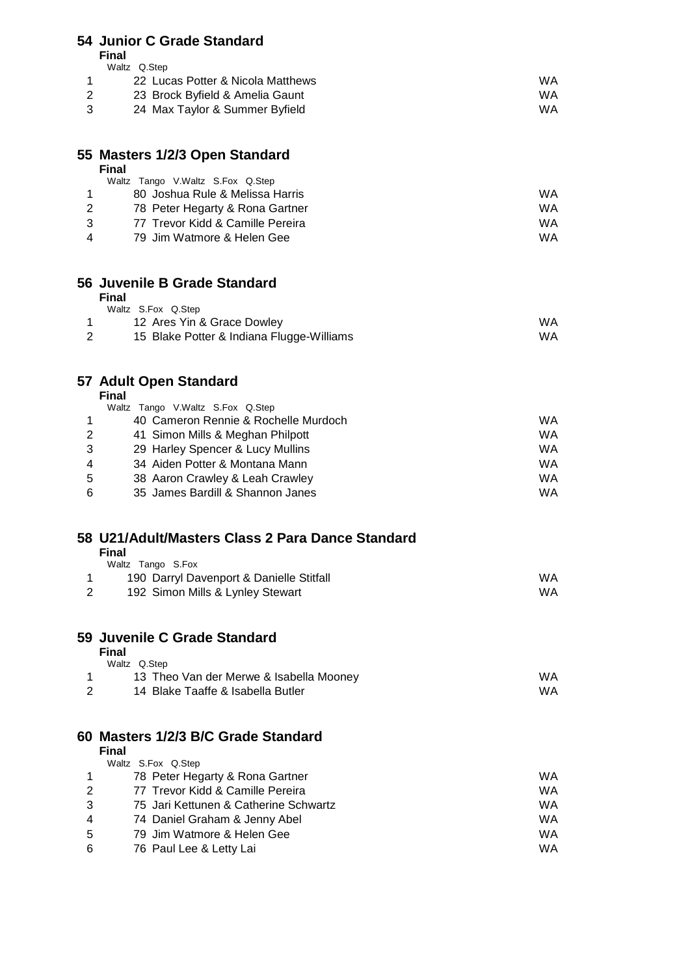### **Junior C Grade Standard**

**Final**  $W$ altz $\cap$ Step

|    | <i>vvalle</i> Q.Olop              |     |
|----|-----------------------------------|-----|
|    | 22 Lucas Potter & Nicola Matthews | WA  |
|    | 23 Brock Byfield & Amelia Gaunt   | WA. |
| -3 | 24 Max Taylor & Summer Byfield    | WA. |

#### **Masters 1/2/3 Open Standard Final**

|               | Waltz Tango V.Waltz S.Fox Q.Step |    |
|---------------|----------------------------------|----|
|               | 80 Joshua Rule & Melissa Harris  | WA |
| 2             | 78 Peter Hegarty & Rona Gartner  | WA |
| $\mathcal{B}$ | 77 Trevor Kidd & Camille Pereira | WA |
| 4             | 79 Jim Watmore & Helen Gee       | WA |
|               |                                  |    |

#### **Juvenile B Grade Standard Final**

| т пат                                     |    |
|-------------------------------------------|----|
| Waltz S.Fox Q.Step                        |    |
| 12 Ares Yin & Grace Dowley                | WA |
| 15 Blake Potter & Indiana Flugge-Williams | WA |

## **Adult Open Standard**

**Final**

|                | Waltz Tango V.Waltz S.Fox Q.Step     |    |
|----------------|--------------------------------------|----|
|                | 40 Cameron Rennie & Rochelle Murdoch | WA |
| $\mathbf{2}$   | 41 Simon Mills & Meghan Philpott     | WA |
| 3              | 29 Harley Spencer & Lucy Mullins     | WA |
| $\overline{4}$ | 34 Aiden Potter & Montana Mann       | WA |
| 5              | 38 Aaron Crawley & Leah Crawley      | WA |
| 6              | 35 James Bardill & Shannon Janes     | WA |

#### **U21/Adult/Masters Class 2 Para Dance Standard Final**

| Waltz Tango S.Fox                        |     |
|------------------------------------------|-----|
| 190 Darryl Davenport & Danielle Stitfall | WA. |
| 192 Simon Mills & Lynley Stewart         | WA. |

## **Juvenile C Grade Standard**

| Final                                   |    |
|-----------------------------------------|----|
| Waltz Q.Step                            |    |
| 13 Theo Van der Merwe & Isabella Mooney | WA |
| 14 Blake Taaffe & Isabella Butler       | WA |

# **Masters 1/2/3 B/C Grade Standard**

|                | <b>Final</b>                          |    |
|----------------|---------------------------------------|----|
|                | Waltz S.Fox Q.Step                    |    |
|                | 78 Peter Hegarty & Rona Gartner       | WA |
| 2              | 77 Trevor Kidd & Camille Pereira      | WA |
| -3             | 75 Jari Kettunen & Catherine Schwartz | WA |
| $\overline{4}$ | 74 Daniel Graham & Jenny Abel         | WA |
| -5             | 79 Jim Watmore & Helen Gee            | WA |
| 6              | 76 Paul Lee & Letty Lai               | WA |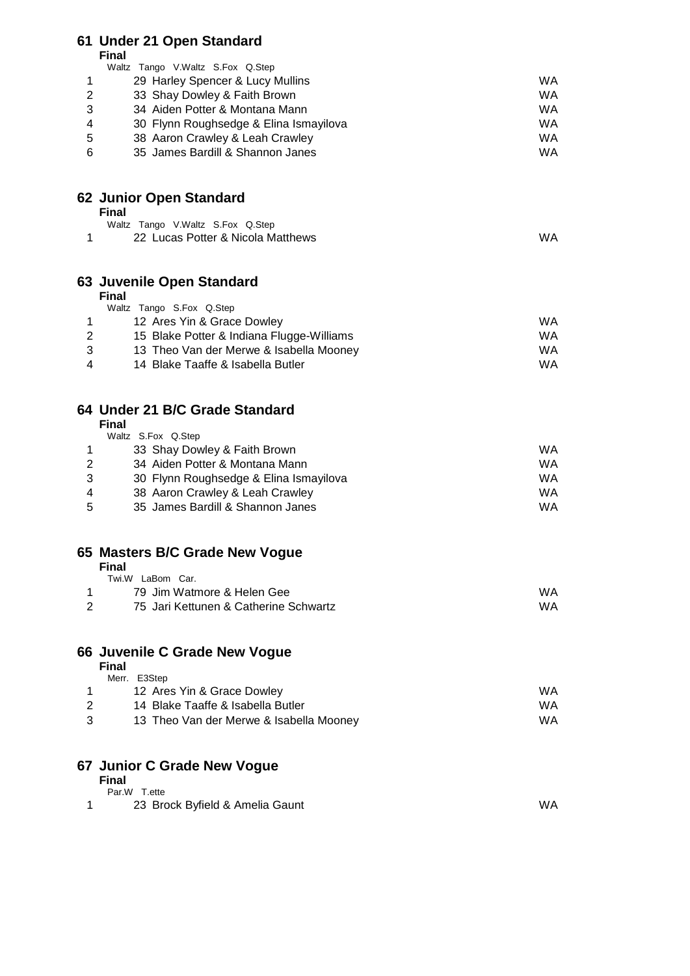|                       | 61 Under 21 Open Standard                              |           |
|-----------------------|--------------------------------------------------------|-----------|
|                       | <b>Final</b>                                           |           |
|                       | Waltz Tango V.Waltz S.Fox Q.Step                       |           |
| 1                     | 29 Harley Spencer & Lucy Mullins                       | WA        |
| $\overline{2}$        | 33 Shay Dowley & Faith Brown                           | WA        |
| 3                     | 34 Aiden Potter & Montana Mann                         | WA        |
| 4                     | 30 Flynn Roughsedge & Elina Ismayilova                 | WA        |
| 5                     | 38 Aaron Crawley & Leah Crawley                        | WA        |
| 6                     | 35 James Bardill & Shannon Janes                       | <b>WA</b> |
|                       | 62 Junior Open Standard                                |           |
|                       | <b>Final</b>                                           |           |
|                       | Waltz Tango V.Waltz S.Fox Q.Step                       |           |
| 1                     | 22 Lucas Potter & Nicola Matthews                      | WA        |
|                       | 63 Juvenile Open Standard                              |           |
|                       | <b>Final</b>                                           |           |
| 1                     | Waltz Tango S.Fox Q.Step<br>12 Ares Yin & Grace Dowley | WA        |
| $\overline{2}$        | 15 Blake Potter & Indiana Flugge-Williams              | <b>WA</b> |
| 3                     | 13 Theo Van der Merwe & Isabella Mooney                | WA        |
| 4                     | 14 Blake Taaffe & Isabella Butler                      | WA        |
|                       |                                                        |           |
|                       | 64 Under 21 B/C Grade Standard                         |           |
|                       | <b>Final</b>                                           |           |
| 1                     | Waltz S.Fox Q.Step<br>33 Shay Dowley & Faith Brown     | WA        |
| $\overline{2}$        | 34 Aiden Potter & Montana Mann                         | WA        |
| 3                     | 30 Flynn Roughsedge & Elina Ismayilova                 | WA        |
| 4                     | 38 Aaron Crawley & Leah Crawley                        | WA        |
| 5                     | 35 James Bardill & Shannon Janes                       | <b>WA</b> |
|                       |                                                        |           |
|                       | 65 Masters B/C Grade New Vogue<br><b>Final</b>         |           |
|                       | Twi.W LaBom Car.                                       |           |
| 1                     | 79 Jim Watmore & Helen Gee                             | WA        |
| $\mathbf{2}^{\prime}$ | 75 Jari Kettunen & Catherine Schwartz                  | WA        |
|                       | 66 Juvenile C Grade New Vogue                          |           |
|                       | Final                                                  |           |
|                       | Merr. E3Step                                           |           |
| 1                     | 12 Ares Yin & Grace Dowley                             | WA        |
| 2                     | 14 Blake Taaffe & Isabella Butler                      | WA        |
| 3                     | 13 Theo Van der Merwe & Isabella Mooney                | WA        |
|                       | 67 Junior C Grade New Vogue                            |           |
|                       | <b>Final</b>                                           |           |

1 23 Brock Byfield & Amelia Gaunt WA

Par.W T.ette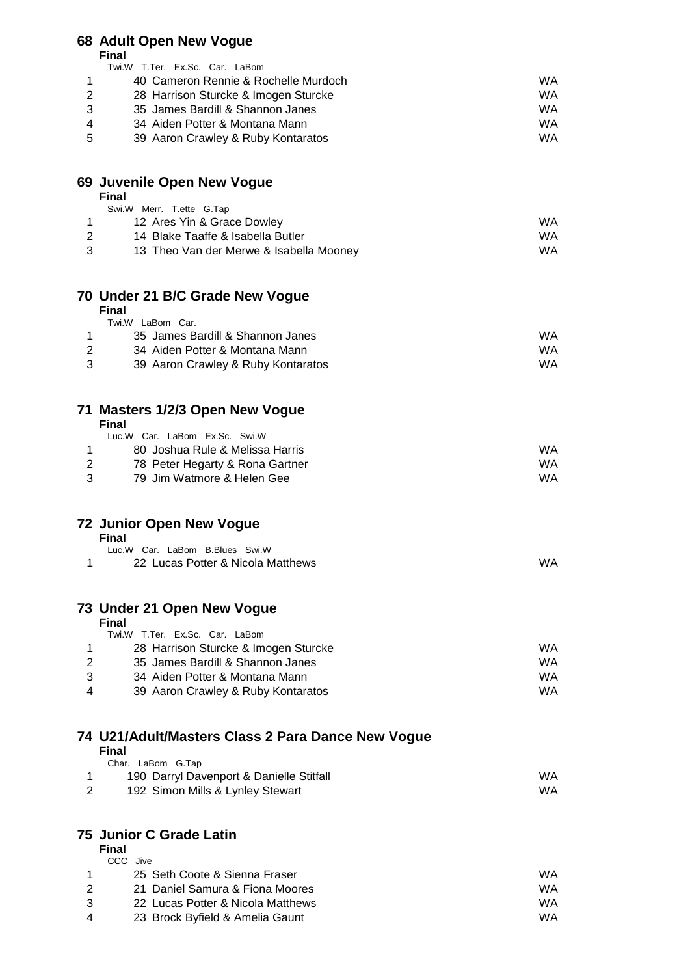# **68 Adult Open New Vogue**

**Final**

|   | .                                        |           |
|---|------------------------------------------|-----------|
|   | Twi.W T.Ter. Ex.Sc. Car. LaBom           |           |
|   | 40 Cameron Rennie & Rochelle Murdoch     | WA.       |
| 2 | 28 Harrison Sturcke & Imogen Sturcke     | WA        |
| 3 | 35 James Bardill & Shannon Janes         | WA        |
| 4 | 34 Aiden Potter & Montana Mann           | WA        |
| 5 | 39 Aaron Crawley & Ruby Kontaratos       | WA.       |
|   | 69 Juvenile Open New Vogue               |           |
|   | <b>Final</b><br>Swi.W Merr. T.ette G.Tap |           |
|   |                                          |           |
| 1 | 12 Ares Yin & Grace Dowley               | WA.       |
| 2 | 14 Blake Taaffe & Isabella Butler        | <b>WA</b> |
| 3 | 13 Theo Van der Merwe & Isabella Mooney  | WA        |

### **70 Under 21 B/C Grade New Vogue**

#### **Final** Twi.W LaBom Car. 1 35 James Bardill & Shannon Janes WA<br>2 34 Aiden Potter & Montana Mann 2 34 Aiden Potter & Montana Mann 3 39 Aaron Crawley & Ruby Kontaratos WA

| 71 Masters 1/2/3 Open New Vogue |  |  |
|---------------------------------|--|--|
| Final                           |  |  |

|    | Luc.W Car. LaBom Ex.Sc. Swi.W   |     |
|----|---------------------------------|-----|
|    | 80 Joshua Rule & Melissa Harris | WA. |
| -2 | 78 Peter Hegarty & Rona Gartner | WA. |
| -3 | 79 Jim Watmore & Helen Gee      | WA. |
|    |                                 |     |

|  | <b>72 Junior Open New Vogue</b> |  |  |  |
|--|---------------------------------|--|--|--|
|--|---------------------------------|--|--|--|

**Final**

| - -------                         |    |
|-----------------------------------|----|
| Luc.W Car. LaBom B.Blues Swi.W    |    |
| 22 Lucas Potter & Nicola Matthews | WA |

### **73 Under 21 Open New Vogue**

#### **Final**

|   | Twi.W T.Ter. Ex.Sc. Car. LaBom       |     |
|---|--------------------------------------|-----|
|   | 28 Harrison Sturcke & Imogen Sturcke | WA. |
|   | 35 James Bardill & Shannon Janes     | WA  |
| 3 | 34 Aiden Potter & Montana Mann       | WA  |
| 4 | 39 Aaron Crawley & Ruby Kontaratos   | WA  |

#### **74 U21/Adult/Masters Class 2 Para Dance New Vogue Final**

| <u>, , , , ,</u>                         |     |
|------------------------------------------|-----|
| Char. LaBom G.Tap                        |     |
| 190 Darryl Davenport & Danielle Stitfall | WA. |
| 192 Simon Mills & Lynley Stewart         | WA. |

### **75 Junior C Grade Latin**

#### **Final** CCC Jive 1 25 Seth Coote & Sienna Fraser WA 2 21 Daniel Samura & Fiona Moores WA 3 22 Lucas Potter & Nicola Matthews WA 4 23 Brock Byfield & Amelia Gaunt WA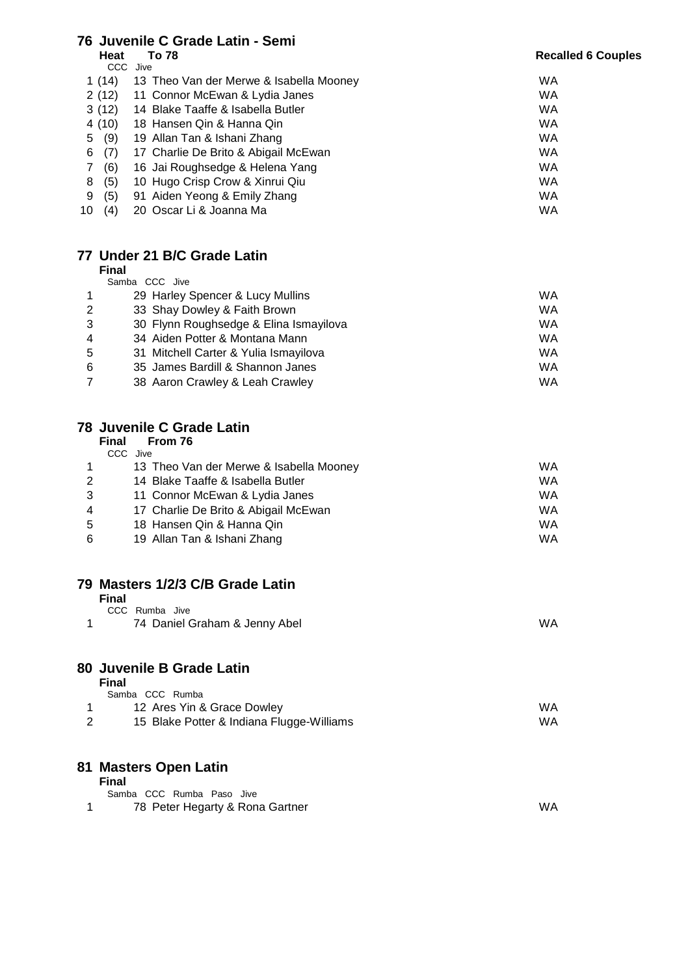## **Juvenile C Grade Latin - Semi**

Heat To 78

#### **Recalled 6 Couples**

|    | UU U     | JIVE                                    |    |
|----|----------|-----------------------------------------|----|
|    | 1 $(14)$ | 13 Theo Van der Merwe & Isabella Mooney | WA |
|    | 2(12)    | 11 Connor McEwan & Lydia Janes          | WA |
|    | 3(12)    | 14 Blake Taaffe & Isabella Butler       | WA |
|    | 4 (10)   | 18 Hansen Qin & Hanna Qin               | WA |
|    | 5(9)     | 19 Allan Tan & Ishani Zhang             | WA |
| 6  | (7)      | 17 Charlie De Brito & Abigail McEwan    | WA |
| 7  | (6)      | 16 Jai Roughsedge & Helena Yang         | WA |
| 8  | (5)      | 10 Hugo Crisp Crow & Xinrui Qiu         | WA |
| 9  | (5)      | 91 Aiden Yeong & Emily Zhang            | WA |
| 10 | (4)      | 20 Oscar Li & Joanna Ma                 | WA |
|    |          |                                         |    |

### **Under 21 B/C Grade Latin**

**Final**

|                | Samba CCC Jive                         |    |
|----------------|----------------------------------------|----|
|                | 29 Harley Spencer & Lucy Mullins       | WA |
| $\overline{2}$ | 33 Shay Dowley & Faith Brown           | WA |
| 3              | 30 Flynn Roughsedge & Elina Ismayilova | WA |
| $\overline{4}$ | 34 Aiden Potter & Montana Mann         | WA |
| 5              | 31 Mitchell Carter & Yulia Ismayilova  | WA |
| 6              | 35 James Bardill & Shannon Janes       | WA |
| 7              | 38 Aaron Crawley & Leah Crawley        | WA |

### **Juvenile C Grade Latin**

| Final | From 76 |  |
|-------|---------|--|
|-------|---------|--|

| $\mathbf 1$ | 13 Theo Van der Merwe & Isabella Mooney | WA  |
|-------------|-----------------------------------------|-----|
| 2           | 14 Blake Taaffe & Isabella Butler       | WA. |
| 3           | 11 Connor McEwan & Lydia Janes          | WA  |
| 4           | 17 Charlie De Brito & Abigail McEwan    | WA  |
| .5          | 18 Hansen Qin & Hanna Qin               | WA. |
| 6           | 19 Allan Tan & Ishani Zhang             | WA  |

## **Masters 1/2/3 C/B Grade Latin**

|   | <b>Final</b>                              |    |
|---|-------------------------------------------|----|
|   | CCC Rumba Jive                            |    |
| 1 | 74 Daniel Graham & Jenny Abel             | WA |
|   | 80 Juvenile B Grade Latin                 |    |
|   | <b>Final</b>                              |    |
|   | Samba CCC Rumba                           |    |
|   | 12 Ares Yin & Grace Dowley                | WA |
| 2 | 15 Blake Potter & Indiana Flugge-Williams | WA |
|   | 81 Masters Open Latin                     |    |
|   | <b>Final</b>                              |    |
|   | Samba CCC Rumba Paso Jive                 |    |
|   | 78 Peter Hegarty & Rona Gartner           | WA |